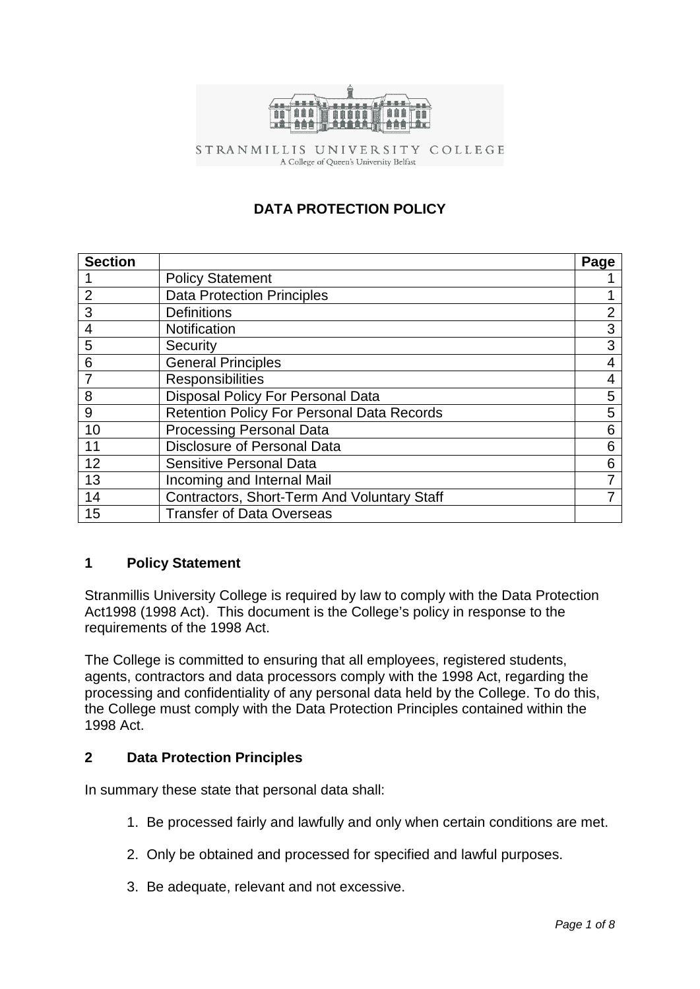

STRANMILLIS UNIVERSITY COLLEGE A College of Queen's University Belfast

# **DATA PROTECTION POLICY**

| <b>Section</b> |                                                   | Page           |
|----------------|---------------------------------------------------|----------------|
|                | <b>Policy Statement</b>                           |                |
| 2              | <b>Data Protection Principles</b>                 |                |
| 3              | <b>Definitions</b>                                | $\overline{2}$ |
| 4              | Notification                                      | 3              |
| 5              | Security                                          | 3              |
| 6              | <b>General Principles</b>                         | 4              |
|                | <b>Responsibilities</b>                           | 4              |
| 8              | Disposal Policy For Personal Data                 | 5              |
| 9              | <b>Retention Policy For Personal Data Records</b> | 5              |
| 10             | <b>Processing Personal Data</b>                   | 6              |
| 11             | <b>Disclosure of Personal Data</b>                | 6              |
| 12             | Sensitive Personal Data                           | 6              |
| 13             | Incoming and Internal Mail                        | 7              |
| 14             | Contractors, Short-Term And Voluntary Staff       |                |
| 15             | <b>Transfer of Data Overseas</b>                  |                |

### **1 Policy Statement**

Stranmillis University College is required by law to comply with the Data Protection Act1998 (1998 Act). This document is the College's policy in response to the requirements of the 1998 Act.

The College is committed to ensuring that all employees, registered students, agents, contractors and data processors comply with the 1998 Act, regarding the processing and confidentiality of any personal data held by the College. To do this, the College must comply with the Data Protection Principles contained within the 1998 Act.

### **2 Data Protection Principles**

In summary these state that personal data shall:

- 1. Be processed fairly and lawfully and only when certain conditions are met.
- 2. Only be obtained and processed for specified and lawful purposes.
- 3. Be adequate, relevant and not excessive.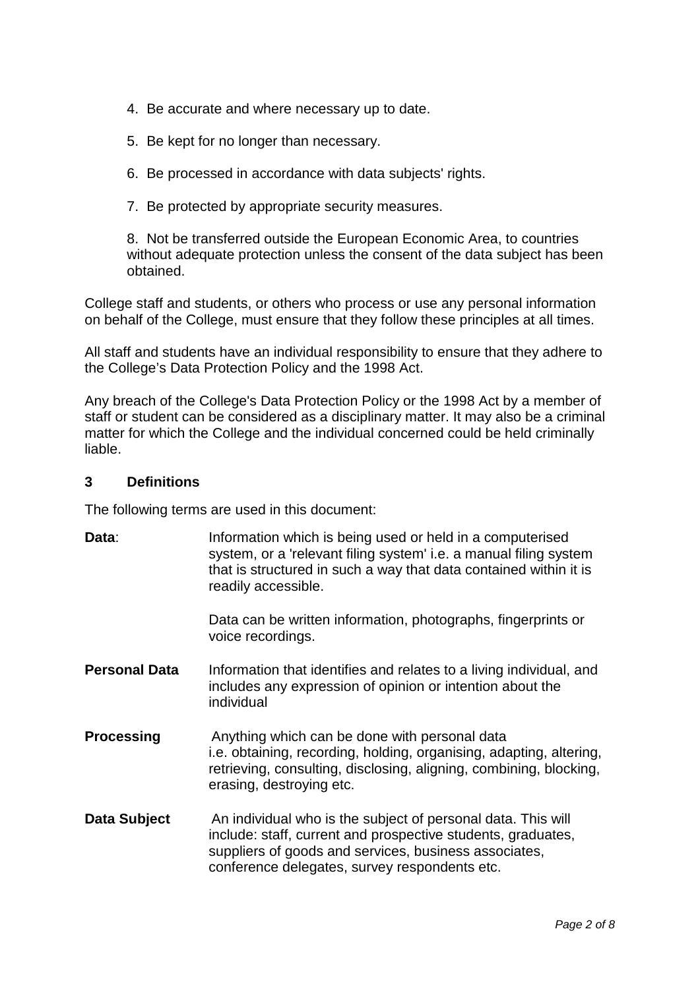- 4. Be accurate and where necessary up to date.
- 5. Be kept for no longer than necessary.
- 6. Be processed in accordance with data subjects' rights.
- 7. Be protected by appropriate security measures.

8. Not be transferred outside the European Economic Area, to countries without adequate protection unless the consent of the data subject has been obtained.

College staff and students, or others who process or use any personal information on behalf of the College, must ensure that they follow these principles at all times.

All staff and students have an individual responsibility to ensure that they adhere to the College's Data Protection Policy and the 1998 Act.

Any breach of the College's Data Protection Policy or the 1998 Act by a member of staff or student can be considered as a disciplinary matter. It may also be a criminal matter for which the College and the individual concerned could be held criminally liable.

#### **3 Definitions**

The following terms are used in this document:

| Data:                | Information which is being used or held in a computerised<br>system, or a 'relevant filing system' i.e. a manual filing system<br>that is structured in such a way that data contained within it is<br>readily accessible.             |
|----------------------|----------------------------------------------------------------------------------------------------------------------------------------------------------------------------------------------------------------------------------------|
|                      | Data can be written information, photographs, fingerprints or<br>voice recordings.                                                                                                                                                     |
| <b>Personal Data</b> | Information that identifies and relates to a living individual, and<br>includes any expression of opinion or intention about the<br>individual                                                                                         |
| <b>Processing</b>    | Anything which can be done with personal data<br>i.e. obtaining, recording, holding, organising, adapting, altering,<br>retrieving, consulting, disclosing, aligning, combining, blocking,<br>erasing, destroying etc.                 |
| Data Subject         | An individual who is the subject of personal data. This will<br>include: staff, current and prospective students, graduates,<br>suppliers of goods and services, business associates,<br>conference delegates, survey respondents etc. |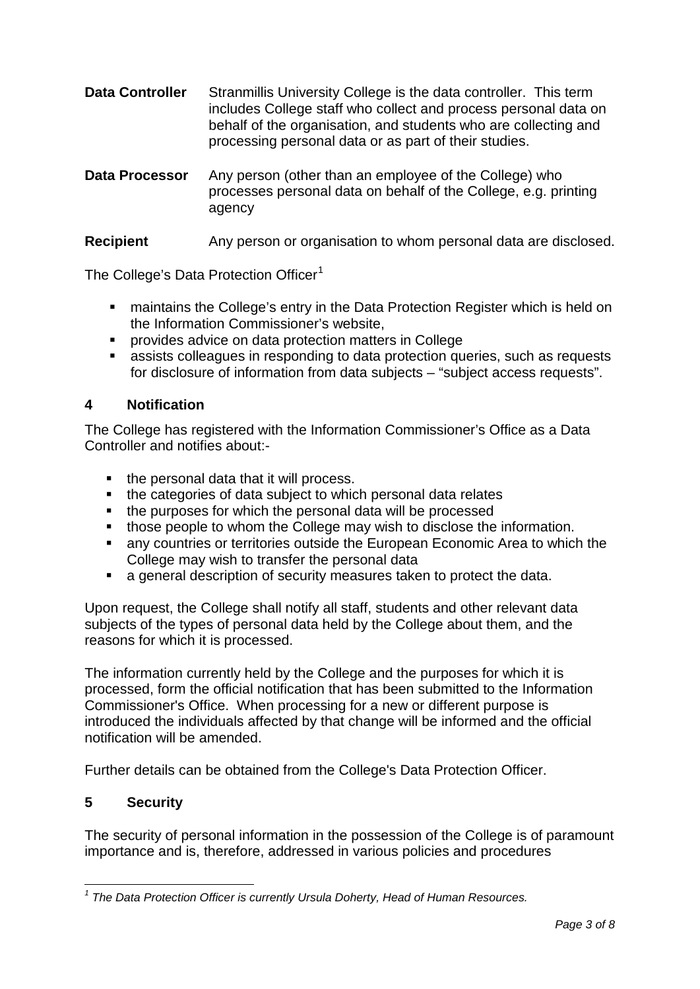- **Data Controller** Stranmillis University College is the data controller. This term includes College staff who collect and process personal data on behalf of the organisation, and students who are collecting and processing personal data or as part of their studies.
- **Data Processor** Any person (other than an employee of the College) who processes personal data on behalf of the College, e.g. printing agency

## **Recipient** Any person or organisation to whom personal data are disclosed.

The College's Data Protection Officer<sup>[1](#page-2-0)</sup>

- **naintains the College's entry in the Data Protection Register which is held on** the Information Commissioner's website,
- provides advice on data protection matters in College
- assists colleagues in responding to data protection queries, such as requests for disclosure of information from data subjects – "subject access requests".

#### **4 Notification**

The College has registered with the Information Commissioner's Office as a Data Controller and notifies about:-

- the personal data that it will process.
- the categories of data subject to which personal data relates
- the purposes for which the personal data will be processed
- **those people to whom the College may wish to disclose the information.**
- any countries or territories outside the European Economic Area to which the College may wish to transfer the personal data
- a general description of security measures taken to protect the data.

Upon request, the College shall notify all staff, students and other relevant data subjects of the types of personal data held by the College about them, and the reasons for which it is processed.

The information currently held by the College and the purposes for which it is processed, form the official notification that has been submitted to the Information Commissioner's Office. When processing for a new or different purpose is introduced the individuals affected by that change will be informed and the official notification will be amended.

Further details can be obtained from the College's Data Protection Officer.

### **5 Security**

1

The security of personal information in the possession of the College is of paramount importance and is, therefore, addressed in various policies and procedures

<span id="page-2-0"></span>*<sup>1</sup> The Data Protection Officer is currently Ursula Doherty, Head of Human Resources.*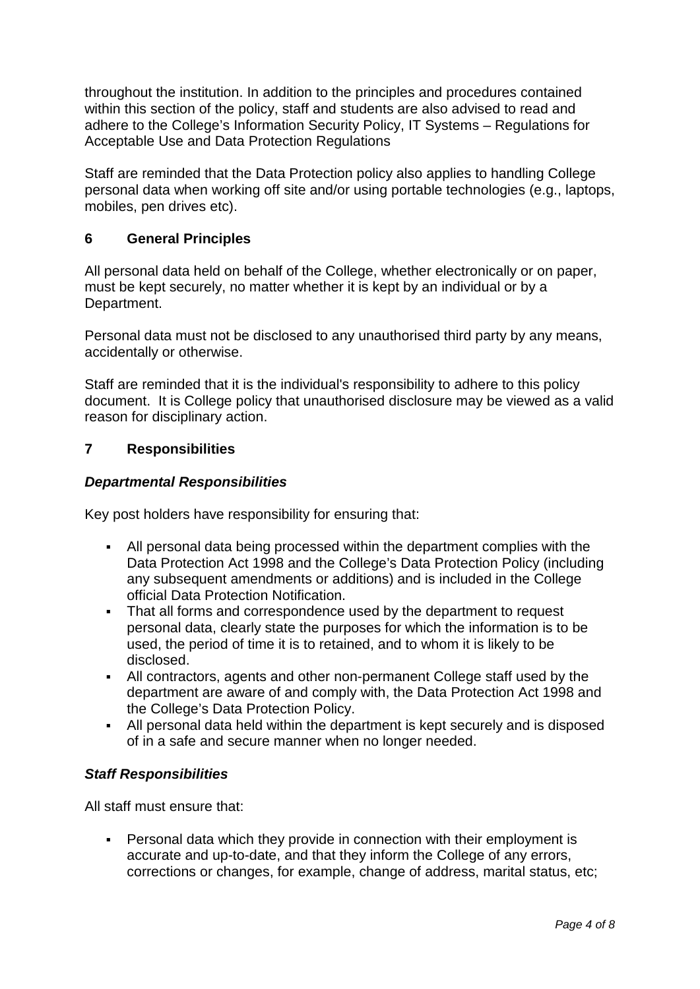throughout the institution. In addition to the principles and procedures contained within this section of the policy, staff and students are also advised to read and adhere to the College's Information Security Policy, IT Systems – Regulations for Acceptable Use and Data Protection Regulations

Staff are reminded that the Data Protection policy also applies to handling College personal data when working off site and/or using portable technologies (e.g., laptops, mobiles, pen drives etc).

## **6 General Principles**

All personal data held on behalf of the College, whether electronically or on paper, must be kept securely, no matter whether it is kept by an individual or by a Department.

Personal data must not be disclosed to any unauthorised third party by any means, accidentally or otherwise.

Staff are reminded that it is the individual's responsibility to adhere to this policy document. It is College policy that unauthorised disclosure may be viewed as a valid reason for disciplinary action.

#### **7 Responsibilities**

#### *Departmental Responsibilities*

Key post holders have responsibility for ensuring that:

- All personal data being processed within the department complies with the Data Protection Act 1998 and the College's Data Protection Policy (including any subsequent amendments or additions) and is included in the College official Data Protection Notification.
- That all forms and correspondence used by the department to request personal data, clearly state the purposes for which the information is to be used, the period of time it is to retained, and to whom it is likely to be disclosed.
- All contractors, agents and other non-permanent College staff used by the department are aware of and comply with, the Data Protection Act 1998 and the College's Data Protection Policy.
- All personal data held within the department is kept securely and is disposed of in a safe and secure manner when no longer needed.

### *Staff Responsibilities*

All staff must ensure that:

 Personal data which they provide in connection with their employment is accurate and up-to-date, and that they inform the College of any errors, corrections or changes, for example, change of address, marital status, etc;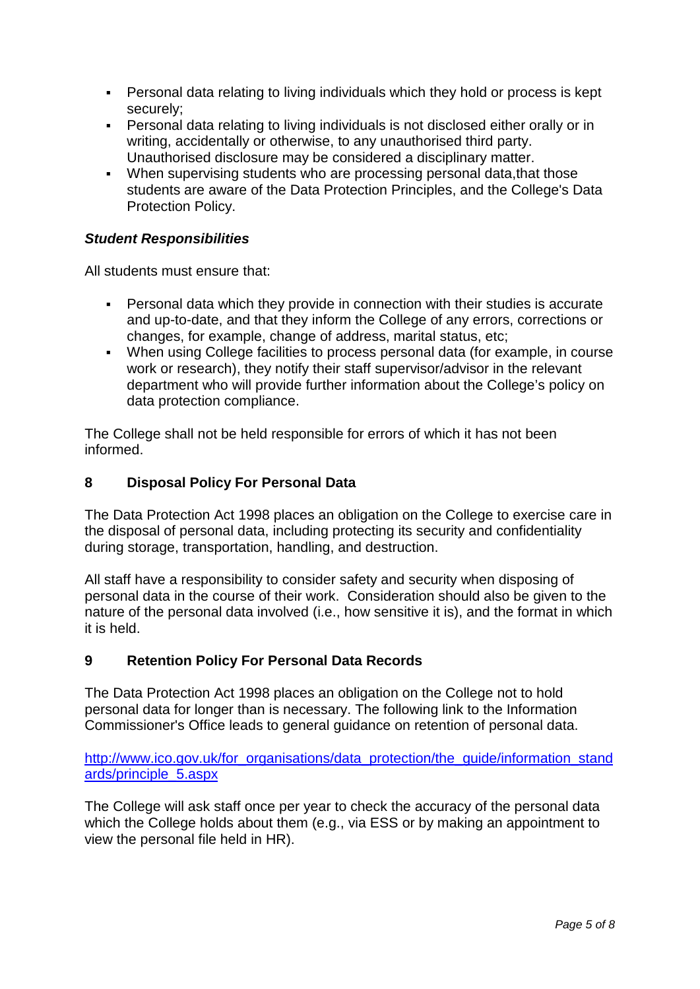- Personal data relating to living individuals which they hold or process is kept securely;
- Personal data relating to living individuals is not disclosed either orally or in writing, accidentally or otherwise, to any unauthorised third party. Unauthorised disclosure may be considered a disciplinary matter.
- When supervising students who are processing personal data,that those students are aware of the Data Protection Principles, and the College's Data Protection Policy.

## *Student Responsibilities*

All students must ensure that:

- Personal data which they provide in connection with their studies is accurate and up-to-date, and that they inform the College of any errors, corrections or changes, for example, change of address, marital status, etc;
- When using College facilities to process personal data (for example, in course work or research), they notify their staff supervisor/advisor in the relevant department who will provide further information about the College's policy on data protection compliance.

The College shall not be held responsible for errors of which it has not been informed.

### **8 Disposal Policy For Personal Data**

The Data Protection Act 1998 places an obligation on the College to exercise care in the disposal of personal data, including protecting its security and confidentiality during storage, transportation, handling, and destruction.

All staff have a responsibility to consider safety and security when disposing of personal data in the course of their work. Consideration should also be given to the nature of the personal data involved (i.e., how sensitive it is), and the format in which it is held.

### **9 Retention Policy For Personal Data Records**

The Data Protection Act 1998 places an obligation on the College not to hold personal data for longer than is necessary. The following link to the Information Commissioner's Office leads to general guidance on retention of personal data.

[http://www.ico.gov.uk/for\\_organisations/data\\_protection/the\\_guide/information\\_stand](http://www.ico.gov.uk/for_organisations/data_protection/the_guide/information_standards/principle_5.aspx) [ards/principle\\_5.aspx](http://www.ico.gov.uk/for_organisations/data_protection/the_guide/information_standards/principle_5.aspx)

The College will ask staff once per year to check the accuracy of the personal data which the College holds about them (e.g., via ESS or by making an appointment to view the personal file held in HR).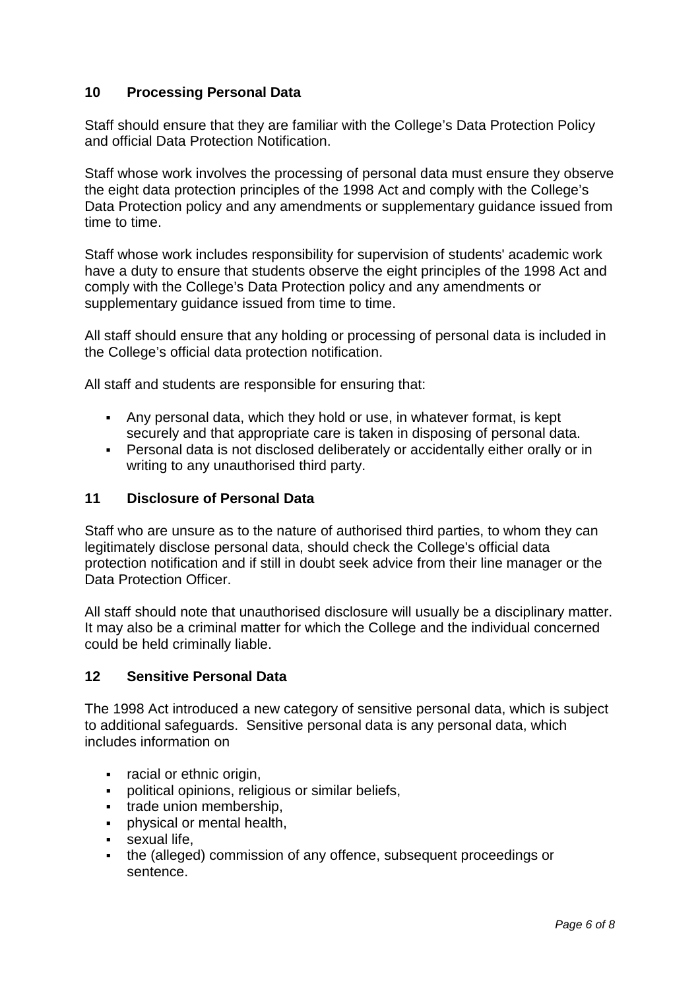## **10 Processing Personal Data**

Staff should ensure that they are familiar with the College's Data Protection Policy and official Data Protection Notification.

Staff whose work involves the processing of personal data must ensure they observe the eight data protection principles of the 1998 Act and comply with the College's Data Protection policy and any amendments or supplementary guidance issued from time to time.

Staff whose work includes responsibility for supervision of students' academic work have a duty to ensure that students observe the eight principles of the 1998 Act and comply with the College's Data Protection policy and any amendments or supplementary quidance issued from time to time.

All staff should ensure that any holding or processing of personal data is included in the College's official data protection notification.

All staff and students are responsible for ensuring that:

- Any personal data, which they hold or use, in whatever format, is kept securely and that appropriate care is taken in disposing of personal data.
- Personal data is not disclosed deliberately or accidentally either orally or in writing to any unauthorised third party.

### **11 Disclosure of Personal Data**

Staff who are unsure as to the nature of authorised third parties, to whom they can legitimately disclose personal data, should check the College's official data protection notification and if still in doubt seek advice from their line manager or the Data Protection Officer.

All staff should note that unauthorised disclosure will usually be a disciplinary matter. It may also be a criminal matter for which the College and the individual concerned could be held criminally liable.

### **12 Sensitive Personal Data**

The 1998 Act introduced a new category of sensitive personal data, which is subject to additional safeguards. Sensitive personal data is any personal data, which includes information on

- racial or ethnic origin,
- political opinions, religious or similar beliefs,
- **trade union membership,**
- **•** physical or mental health,
- **sexual life.**
- the (alleged) commission of any offence, subsequent proceedings or sentence.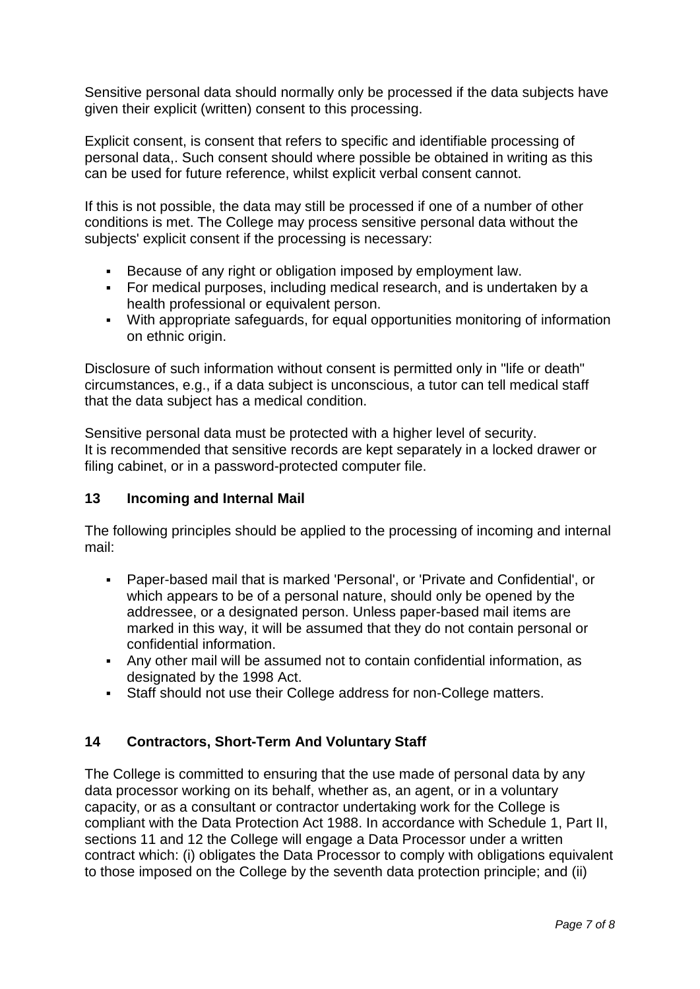Sensitive personal data should normally only be processed if the data subjects have given their explicit (written) consent to this processing.

Explicit consent, is consent that refers to specific and identifiable processing of personal data,. Such consent should where possible be obtained in writing as this can be used for future reference, whilst explicit verbal consent cannot.

If this is not possible, the data may still be processed if one of a number of other conditions is met. The College may process sensitive personal data without the subjects' explicit consent if the processing is necessary:

- Because of any right or obligation imposed by employment law.
- For medical purposes, including medical research, and is undertaken by a health professional or equivalent person.
- With appropriate safeguards, for equal opportunities monitoring of information on ethnic origin.

Disclosure of such information without consent is permitted only in "life or death" circumstances, e.g., if a data subject is unconscious, a tutor can tell medical staff that the data subject has a medical condition.

Sensitive personal data must be protected with a higher level of security. It is recommended that sensitive records are kept separately in a locked drawer or filing cabinet, or in a password-protected computer file.

### **13 Incoming and Internal Mail**

The following principles should be applied to the processing of incoming and internal mail:

- Paper-based mail that is marked 'Personal', or 'Private and Confidential', or which appears to be of a personal nature, should only be opened by the addressee, or a designated person. Unless paper-based mail items are marked in this way, it will be assumed that they do not contain personal or confidential information.
- Any other mail will be assumed not to contain confidential information, as designated by the 1998 Act.
- Staff should not use their College address for non-College matters.

## **14 Contractors, Short-Term And Voluntary Staff**

The College is committed to ensuring that the use made of personal data by any data processor working on its behalf, whether as, an agent, or in a voluntary capacity, or as a consultant or contractor undertaking work for the College is compliant with the Data Protection Act 1988. In accordance with Schedule 1, Part II, sections 11 and 12 the College will engage a Data Processor under a written contract which: (i) obligates the Data Processor to comply with obligations equivalent to those imposed on the College by the seventh data protection principle; and (ii)